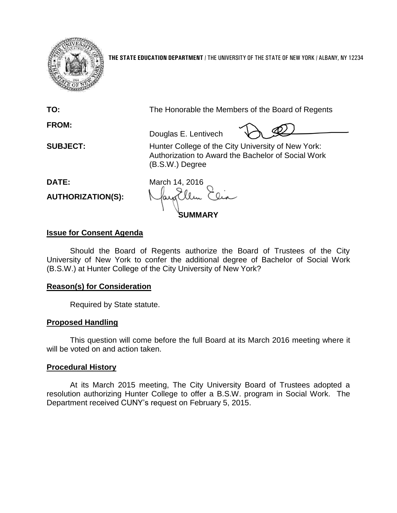

**THE STATE EDUCATION DEPARTMENT** / THE UNIVERSITY OF THE STATE OF NEW YORK / ALBANY, NY 12234

**FROM:**

**TO:** The Honorable the Members of the Board of Regents

Douglas E. Lentivech

**SUBJECT:** Hunter College of the City University of New York: Authorization to Award the Bachelor of Social Work (B.S.W.) Degree

**AUTHORIZATION(S):**

**DATE:** March 14, 2016 **SUMMARY**

# **Issue for Consent Agenda**

Should the Board of Regents authorize the Board of Trustees of the City University of New York to confer the additional degree of Bachelor of Social Work (B.S.W.) at Hunter College of the City University of New York?

# **Reason(s) for Consideration**

Required by State statute.

# **Proposed Handling**

This question will come before the full Board at its March 2016 meeting where it will be voted on and action taken.

# **Procedural History**

At its March 2015 meeting, The City University Board of Trustees adopted a resolution authorizing Hunter College to offer a B.S.W. program in Social Work. The Department received CUNY's request on February 5, 2015.